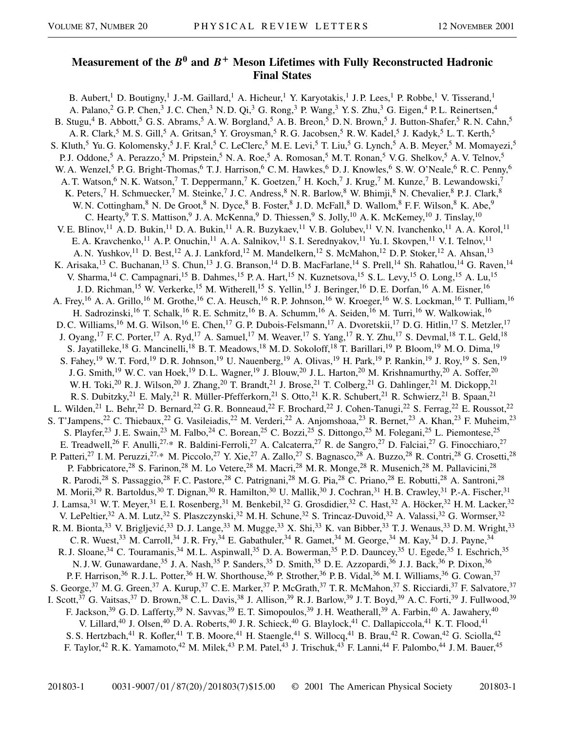## **Measurement of the**  $B^0$  **and**  $B^+$  **Meson Lifetimes with Fully Reconstructed Hadronic Final States**

B. Aubert,<sup>1</sup> D. Boutigny,<sup>1</sup> J.-M. Gaillard,<sup>1</sup> A. Hicheur,<sup>1</sup> Y. Karyotakis,<sup>1</sup> J.P. Lees,<sup>1</sup> P. Robbe,<sup>1</sup> V. Tisserand,<sup>1</sup> A. Palano,<sup>2</sup> G. P. Chen,<sup>3</sup> J. C. Chen,<sup>3</sup> N. D. Qi,<sup>3</sup> G. Rong,<sup>3</sup> P. Wang,<sup>3</sup> Y. S. Zhu,<sup>3</sup> G. Eigen,<sup>4</sup> P. L. Reinertsen,<sup>4</sup> B. Stugu,<sup>4</sup> B. Abbott,<sup>5</sup> G. S. Abrams,<sup>5</sup> A. W. Borgland,<sup>5</sup> A. B. Breon,<sup>5</sup> D. N. Brown,<sup>5</sup> J. Button-Shafer,<sup>5</sup> R. N. Cahn,<sup>5</sup> A. R. Clark,<sup>5</sup> M. S. Gill,<sup>5</sup> A. Gritsan,<sup>5</sup> Y. Groysman,<sup>5</sup> R. G. Jacobsen,<sup>5</sup> R. W. Kadel,<sup>5</sup> J. Kadyk,<sup>5</sup> L. T. Kerth,<sup>5</sup> S. Kluth,<sup>5</sup> Yu. G. Kolomensky,<sup>5</sup> J. F. Kral,<sup>5</sup> C. LeClerc,<sup>5</sup> M. E. Levi,<sup>5</sup> T. Liu,<sup>5</sup> G. Lynch,<sup>5</sup> A. B. Meyer,<sup>5</sup> M. Momayezi,<sup>5</sup> P. J. Oddone,<sup>5</sup> A. Perazzo,<sup>5</sup> M. Pripstein,<sup>5</sup> N. A. Roe,<sup>5</sup> A. Romosan,<sup>5</sup> M. T. Ronan,<sup>5</sup> V. G. Shelkov,<sup>5</sup> A. V. Telnov,<sup>5</sup> W. A. Wenzel,<sup>5</sup> P. G. Bright-Thomas,<sup>6</sup> T. J. Harrison,<sup>6</sup> C. M. Hawkes,<sup>6</sup> D. J. Knowles,<sup>6</sup> S. W. O'Neale,<sup>6</sup> R. C. Penny,<sup>6</sup> A. T. Watson,<sup>6</sup> N. K. Watson,<sup>7</sup> T. Deppermann,<sup>7</sup> K. Goetzen,<sup>7</sup> H. Koch,<sup>7</sup> J. Krug,<sup>7</sup> M. Kunze,<sup>7</sup> B. Lewandowski,<sup>7</sup> K. Peters,<sup>7</sup> H. Schmuecker,<sup>7</sup> M. Steinke,<sup>7</sup> J. C. Andress,<sup>8</sup> N. R. Barlow,<sup>8</sup> W. Bhimji,<sup>8</sup> N. Chevalier,<sup>8</sup> P. J. Clark,<sup>8</sup> W. N. Cottingham, <sup>8</sup> N. De Groot, <sup>8</sup> N. Dyce, <sup>8</sup> B. Foster, <sup>8</sup> J. D. McFall, <sup>8</sup> D. Wallom, <sup>8</sup> F. F. Wilson, <sup>8</sup> K. Abe, <sup>9</sup> C. Hearty, <sup>9</sup> T. S. Mattison, <sup>9</sup> J. A. McKenna, <sup>9</sup> D. Thiessen, <sup>9</sup> S. Jolly, <sup>10</sup> A. K. McKemey, <sup>10</sup> J. Tinslay, <sup>10</sup> V. E. Blinov,<sup>11</sup> A. D. Bukin,<sup>11</sup> D. A. Bukin,<sup>11</sup> A. R. Buzykaev,<sup>11</sup> V. B. Golubev,<sup>11</sup> V. N. Ivanchenko,<sup>11</sup> A. A. Korol,<sup>11</sup> E. A. Kravchenko,<sup>11</sup> A. P. Onuchin,<sup>11</sup> A. A. Salnikov,<sup>11</sup> S. I. Serednyakov,<sup>11</sup> Yu. I. Skovpen,<sup>11</sup> V. I. Telnov,<sup>11</sup> A. N. Yushkov,<sup>11</sup> D. Best,<sup>12</sup> A. J. Lankford,<sup>12</sup> M. Mandelkern,<sup>12</sup> S. McMahon,<sup>12</sup> D. P. Stoker,<sup>12</sup> A. Ahsan,<sup>13</sup> K. Arisaka,<sup>13</sup> C. Buchanan,<sup>13</sup> S. Chun,<sup>13</sup> J. G. Branson,<sup>14</sup> D. B. MacFarlane,<sup>14</sup> S. Prell,<sup>14</sup> Sh. Rahatlou,<sup>14</sup> G. Raven,<sup>14</sup> V. Sharma,<sup>14</sup> C. Campagnari,<sup>15</sup> B. Dahmes,<sup>15</sup> P. A. Hart,<sup>15</sup> N. Kuznetsova,<sup>15</sup> S. L. Levy,<sup>15</sup> O. Long,<sup>15</sup> A. Lu,<sup>15</sup> J. D. Richman,<sup>15</sup> W. Verkerke,<sup>15</sup> M. Witherell,<sup>15</sup> S. Yellin,<sup>15</sup> J. Beringer,<sup>16</sup> D. E. Dorfan,<sup>16</sup> A. M. Eisner,<sup>16</sup> A. Frey,<sup>16</sup> A. A. Grillo,<sup>16</sup> M. Grothe,<sup>16</sup> C. A. Heusch,<sup>16</sup> R. P. Johnson,<sup>16</sup> W. Kroeger,<sup>16</sup> W. S. Lockman,<sup>16</sup> T. Pulliam,<sup>16</sup> H. Sadrozinski,<sup>16</sup> T. Schalk,<sup>16</sup> R. E. Schmitz,<sup>16</sup> B. A. Schumm,<sup>16</sup> A. Seiden,<sup>16</sup> M. Turri,<sup>16</sup> W. Walkowiak,<sup>16</sup> D. C. Williams,<sup>16</sup> M. G. Wilson,<sup>16</sup> E. Chen,<sup>17</sup> G. P. Dubois-Felsmann,<sup>17</sup> A. Dvoretskii,<sup>17</sup> D. G. Hitlin,<sup>17</sup> S. Metzler,<sup>17</sup> J. Oyang,<sup>17</sup> F. C. Porter,<sup>17</sup> A. Ryd,<sup>17</sup> A. Samuel,<sup>17</sup> M. Weaver,<sup>17</sup> S. Yang,<sup>17</sup> R. Y. Zhu,<sup>17</sup> S. Devmal,<sup>18</sup> T. L. Geld,<sup>18</sup> S. Jayatilleke,<sup>18</sup> G. Mancinelli,<sup>18</sup> B. T. Meadows,<sup>18</sup> M. D. Sokoloff,<sup>18</sup> T. Barillari,<sup>19</sup> P. Bloom,<sup>19</sup> M. O. Dima,<sup>19</sup> S. Fahey,<sup>19</sup> W. T. Ford,<sup>19</sup> D. R. Johnson,<sup>19</sup> U. Nauenberg,<sup>19</sup> A. Olivas,<sup>19</sup> H. Park,<sup>19</sup> P. Rankin,<sup>19</sup> J. Roy,<sup>19</sup> S. Sen,<sup>19</sup> J. G. Smith,<sup>19</sup> W. C. van Hoek,<sup>19</sup> D. L. Wagner,<sup>19</sup> J. Blouw,<sup>20</sup> J. L. Harton,<sup>20</sup> M. Krishnamurthy,<sup>20</sup> A. Soffer,<sup>20</sup> W. H. Toki,<sup>20</sup> R. J. Wilson,<sup>20</sup> J. Zhang,<sup>20</sup> T. Brandt,<sup>21</sup> J. Brose,<sup>21</sup> T. Colberg,<sup>21</sup> G. Dahlinger,<sup>21</sup> M. Dickopp,<sup>21</sup> R. S. Dubitzky,<sup>21</sup> E. Maly,<sup>21</sup> R. Müller-Pfefferkorn,<sup>21</sup> S. Otto,<sup>21</sup> K. R. Schubert,<sup>21</sup> R. Schwierz,<sup>21</sup> B. Spaan,<sup>21</sup> L. Wilden,<sup>21</sup> L. Behr,<sup>22</sup> D. Bernard,<sup>22</sup> G. R. Bonneaud,<sup>22</sup> F. Brochard,<sup>22</sup> J. Cohen-Tanugi,<sup>22</sup> S. Ferrag,<sup>22</sup> E. Roussot,<sup>22</sup> S. T'Jampens,<sup>22</sup> C. Thiebaux,<sup>22</sup> G. Vasileiadis,<sup>22</sup> M. Verderi,<sup>22</sup> A. Anjomshoaa,<sup>23</sup> R. Bernet,<sup>23</sup> A. Khan,<sup>23</sup> F. Muheim,<sup>23</sup> S. Playfer,<sup>23</sup> J. E. Swain,<sup>23</sup> M. Falbo,<sup>24</sup> C. Borean,<sup>25</sup> C. Bozzi,<sup>25</sup> S. Dittongo,<sup>25</sup> M. Folegani,<sup>25</sup> L. Piemontese,<sup>25</sup> E. Treadwell,<sup>26</sup> F. Anulli,<sup>27,\*</sup> R. Baldini-Ferroli,<sup>27</sup> A. Calcaterra,<sup>27</sup> R. de Sangro,<sup>27</sup> D. Falciai,<sup>27</sup> G. Finocchiaro,<sup>27</sup> P. Patteri,<sup>27</sup> I. M. Peruzzi,<sup>27,\*</sup> M. Piccolo,<sup>27</sup> Y. Xie,<sup>27</sup> A. Zallo,<sup>27</sup> S. Bagnasco,<sup>28</sup> A. Buzzo,<sup>28</sup> R. Contri,<sup>28</sup> G. Crosetti,<sup>28</sup> P. Fabbricatore,<sup>28</sup> S. Farinon,<sup>28</sup> M. Lo Vetere,<sup>28</sup> M. Macri,<sup>28</sup> M. R. Monge,<sup>28</sup> R. Musenich,<sup>28</sup> M. Pallavicini,<sup>28</sup> R. Parodi,<sup>28</sup> S. Passaggio,<sup>28</sup> F.C. Pastore,<sup>28</sup> C. Patrignani,<sup>28</sup> M. G. Pia,<sup>28</sup> C. Priano,<sup>28</sup> E. Robutti,<sup>28</sup> A. Santroni,<sup>28</sup> M. Morii,<sup>29</sup> R. Bartoldus,<sup>30</sup> T. Dignan,<sup>30</sup> R. Hamilton,<sup>30</sup> U. Mallik,<sup>30</sup> J. Cochran,<sup>31</sup> H. B. Crawley,<sup>31</sup> P.-A. Fischer,<sup>31</sup> J. Lamsa,<sup>31</sup> W. T. Meyer,<sup>31</sup> E. I. Rosenberg,<sup>31</sup> M. Benkebil,<sup>32</sup> G. Grosdidier,<sup>32</sup> C. Hast,<sup>32</sup> A. Höcker,<sup>32</sup> H. M. Lacker,<sup>32</sup> V. LePeltier,<sup>32</sup> A. M. Lutz,<sup>32</sup> S. Plaszczynski,<sup>32</sup> M. H. Schune,<sup>32</sup> S. Trincaz-Duvoid,<sup>32</sup> A. Valassi,<sup>32</sup> G. Wormser,<sup>32</sup> R. M. Bionta,<sup>33</sup> V. Brigljević,<sup>33</sup> D. J. Lange,<sup>33</sup> M. Mugge,<sup>33</sup> X. Shi,<sup>33</sup> K. van Bibber,<sup>33</sup> T. J. Wenaus,<sup>33</sup> D. M. Wright,<sup>33</sup> C. R. Wuest, <sup>33</sup> M. Carroll, <sup>34</sup> J. R. Fry, <sup>34</sup> E. Gabathuler, <sup>34</sup> R. Gamet, <sup>34</sup> M. George, <sup>34</sup> M. Kay, <sup>34</sup> D. J. Payne, <sup>34</sup> R. J. Sloane,<sup>34</sup> C. Touramanis,<sup>34</sup> M. L. Aspinwall,<sup>35</sup> D. A. Bowerman,<sup>35</sup> P. D. Dauncey,<sup>35</sup> U. Egede,<sup>35</sup> I. Eschrich,<sup>35</sup> N. J. W. Gunawardane,<sup>35</sup> J. A. Nash,<sup>35</sup> P. Sanders,<sup>35</sup> D. Smith,<sup>35</sup> D. E. Azzopardi,<sup>36</sup> J. J. Back,<sup>36</sup> P. Dixon,<sup>36</sup> P. F. Harrison,<sup>36</sup> R. J. L. Potter,<sup>36</sup> H. W. Shorthouse,<sup>36</sup> P. Strother,<sup>36</sup> P. B. Vidal,<sup>36</sup> M. I. Williams,<sup>36</sup> G. Cowan,<sup>37</sup> S. George,<sup>37</sup> M. G. Green,<sup>37</sup> A. Kurup,<sup>37</sup> C. E. Marker,<sup>37</sup> P. McGrath,<sup>37</sup> T. R. McMahon,<sup>37</sup> S. Ricciardi,<sup>37</sup> F. Salvatore,<sup>37</sup> I. Scott,<sup>37</sup> G. Vaitsas,<sup>37</sup> D. Brown,<sup>38</sup> C. L. Davis,<sup>38</sup> J. Allison,<sup>39</sup> R. J. Barlow,<sup>39</sup> J. T. Boyd,<sup>39</sup> A. C. Forti,<sup>39</sup> J. Fullwood,<sup>39</sup> F. Jackson,<sup>39</sup> G. D. Lafferty,<sup>39</sup> N. Savvas,<sup>39</sup> E. T. Simopoulos,<sup>39</sup> J. H. Weatherall,<sup>39</sup> A. Farbin,<sup>40</sup> A. Jawahery,<sup>40</sup> V. Lillard,<sup>40</sup> J. Olsen,<sup>40</sup> D. A. Roberts,<sup>40</sup> J. R. Schieck,<sup>40</sup> G. Blaylock,<sup>41</sup> C. Dallapiccola,<sup>41</sup> K. T. Flood,<sup>41</sup> S. S. Hertzbach,<sup>41</sup> R. Kofler,<sup>41</sup> T. B. Moore,<sup>41</sup> H. Staengle,<sup>41</sup> S. Willocq,<sup>41</sup> B. Brau,<sup>42</sup> R. Cowan,<sup>42</sup> G. Sciolla,<sup>42</sup> F. Taylor,<sup>42</sup> R. K. Yamamoto,<sup>42</sup> M. Milek,<sup>43</sup> P. M. Patel,<sup>43</sup> J. Trischuk,<sup>43</sup> F. Lanni,<sup>44</sup> F. Palombo,<sup>44</sup> J. M. Bauer,<sup>45</sup>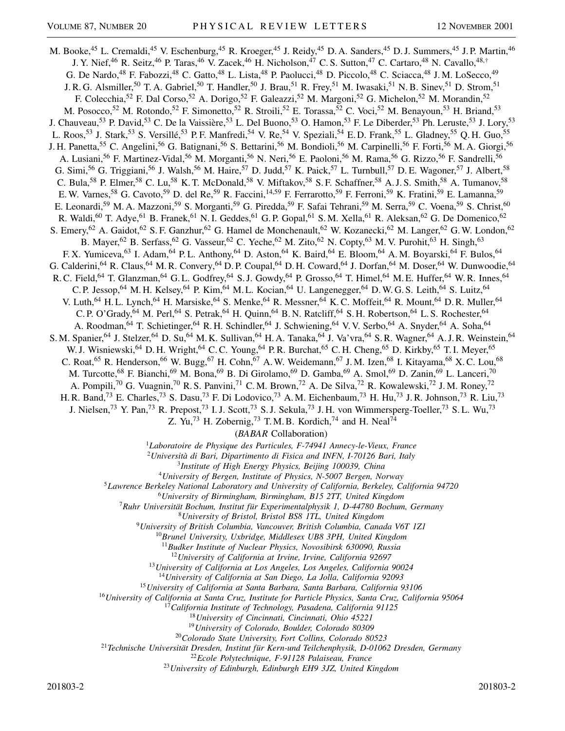M. Booke,<sup>45</sup> L. Cremaldi,<sup>45</sup> V. Eschenburg,<sup>45</sup> R. Kroeger,<sup>45</sup> J. Reidy,<sup>45</sup> D. A. Sanders,<sup>45</sup> D. J. Summers,<sup>45</sup> J. P. Martin,<sup>46</sup> J. Y. Nief,<sup>46</sup> R. Seitz,<sup>46</sup> P. Taras,<sup>46</sup> V. Zacek,<sup>46</sup> H. Nicholson,<sup>47</sup> C. S. Sutton,<sup>47</sup> C. Cartaro,<sup>48</sup> N. Cavallo,<sup>48,†</sup> G. De Nardo,<sup>48</sup> F. Fabozzi,<sup>48</sup> C. Gatto,<sup>48</sup> L. Lista,<sup>48</sup> P. Paolucci,<sup>48</sup> D. Piccolo,<sup>48</sup> C. Sciacca,<sup>48</sup> J. M. LoSecco,<sup>49</sup> J. R. G. Alsmiller,<sup>50</sup> T. A. Gabriel,<sup>50</sup> T. Handler,<sup>50</sup> J. Brau,<sup>51</sup> R. Frey,<sup>51</sup> M. Iwasaki,<sup>51</sup> N. B. Sinev,<sup>51</sup> D. Strom,<sup>51</sup> F. Colecchia,<sup>52</sup> F. Dal Corso,<sup>52</sup> A. Dorigo,<sup>52</sup> F. Galeazzi,<sup>52</sup> M. Margoni,<sup>52</sup> G. Michelon,<sup>52</sup> M. Morandin,<sup>52</sup> M. Posocco,<sup>52</sup> M. Rotondo,<sup>52</sup> F. Simonetto,<sup>52</sup> R. Stroili,<sup>52</sup> E. Torassa,<sup>52</sup> C. Voci,<sup>52</sup> M. Benayoun,<sup>53</sup> H. Briand,<sup>53</sup> J. Chauveau,<sup>53</sup> P. David,<sup>53</sup> C. De la Vaissière,<sup>53</sup> L. Del Buono,<sup>53</sup> O. Hamon,<sup>53</sup> F. Le Diberder,<sup>53</sup> Ph. Leruste,<sup>53</sup> J. Lory,<sup>53</sup> L. Roos,<sup>53</sup> J. Stark,<sup>53</sup> S. Versillé,<sup>53</sup> P.F. Manfredi,<sup>54</sup> V. Re,<sup>54</sup> V. Speziali,<sup>54</sup> E.D. Frank,<sup>55</sup> L. Gladney,<sup>55</sup> Q.H. Guo,<sup>55</sup> J. H. Panetta,<sup>55</sup> C. Angelini,<sup>56</sup> G. Batignani,<sup>56</sup> S. Bettarini,<sup>56</sup> M. Bondioli,<sup>56</sup> M. Carpinelli,<sup>56</sup> F. Forti,<sup>56</sup> M. A. Giorgi,<sup>56</sup> A. Lusiani,<sup>56</sup> F. Martinez-Vidal,<sup>56</sup> M. Morganti,<sup>56</sup> N. Neri,<sup>56</sup> E. Paoloni,<sup>56</sup> M. Rama,<sup>56</sup> G. Rizzo,<sup>56</sup> F. Sandrelli,<sup>56</sup> G. Simi,<sup>56</sup> G. Triggiani,<sup>56</sup> J. Walsh,<sup>56</sup> M. Haire,<sup>57</sup> D. Judd,<sup>57</sup> K. Paick,<sup>57</sup> L. Turnbull,<sup>57</sup> D. E. Wagoner,<sup>57</sup> J. Albert,<sup>58</sup> C. Bula,<sup>58</sup> P. Elmer,<sup>58</sup> C. Lu,<sup>58</sup> K. T. McDonald,<sup>58</sup> V. Miftakov,<sup>58</sup> S. F. Schaffner,<sup>58</sup> A. J. S. Smith,<sup>58</sup> A. Tumanov,<sup>58</sup> E. W. Varnes,<sup>58</sup> G. Cavoto,<sup>59</sup> D. del Re,<sup>59</sup> R. Faccini,<sup>14,59</sup> F. Ferrarotto,<sup>59</sup> F. Ferroni,<sup>59</sup> K. Fratini,<sup>59</sup> E. Lamanna,<sup>59</sup> E. Leonardi,<sup>59</sup> M. A. Mazzoni,<sup>59</sup> S. Morganti,<sup>59</sup> G. Piredda,<sup>59</sup> F. Safai Tehrani,<sup>59</sup> M. Serra,<sup>59</sup> C. Voena,<sup>59</sup> S. Christ,<sup>60</sup> R. Waldi,<sup>60</sup> T. Adye,<sup>61</sup> B. Franek,<sup>61</sup> N. I. Geddes,<sup>61</sup> G. P. Gopal,<sup>61</sup> S. M. Xella,<sup>61</sup> R. Aleksan,<sup>62</sup> G. De Domenico,<sup>62</sup> S. Emery,<sup>62</sup> A. Gaidot,<sup>62</sup> S. F. Ganzhur,<sup>62</sup> G. Hamel de Monchenault,<sup>62</sup> W. Kozanecki,<sup>62</sup> M. Langer,<sup>62</sup> G. W. London,<sup>62</sup> B. Mayer,<sup>62</sup> B. Serfass,<sup>62</sup> G. Vasseur,<sup>62</sup> C. Yeche,<sup>62</sup> M. Zito,<sup>62</sup> N. Copty,<sup>63</sup> M. V. Purohit,<sup>63</sup> H. Singh,<sup>63</sup> F. X. Yumiceva, <sup>63</sup> I. Adam, <sup>64</sup> P. L. Anthony, <sup>64</sup> D. Aston, <sup>64</sup> K. Baird, <sup>64</sup> E. Bloom, <sup>64</sup> A. M. Boyarski, <sup>64</sup> F. Bulos, <sup>64</sup> G. Calderini,<sup>64</sup> R. Claus,<sup>64</sup> M. R. Convery,<sup>64</sup> D. P. Coupal,<sup>64</sup> D. H. Coward,<sup>64</sup> J. Dorfan,<sup>64</sup> M. Doser,<sup>64</sup> W. Dunwoodie,<sup>64</sup> R. C. Field,<sup>64</sup> T. Glanzman,<sup>64</sup> G. L. Godfrey,<sup>64</sup> S. J. Gowdy,<sup>64</sup> P. Grosso,<sup>64</sup> T. Himel,<sup>64</sup> M. E. Huffer,<sup>64</sup> W. R. Innes,<sup>64</sup> C. P. Jessop,<sup>64</sup> M. H. Kelsey,<sup>64</sup> P. Kim,<sup>64</sup> M. L. Kocian,<sup>64</sup> U. Langenegger,<sup>64</sup> D. W. G. S. Leith,<sup>64</sup> S. Luitz,<sup>64</sup> V. Luth,<sup>64</sup> H. L. Lynch,<sup>64</sup> H. Marsiske,<sup>64</sup> S. Menke,<sup>64</sup> R. Messner,<sup>64</sup> K. C. Moffeit,<sup>64</sup> R. Mount,<sup>64</sup> D. R. Muller,<sup>64</sup> C. P. O'Grady, <sup>64</sup> M. Perl, <sup>64</sup> S. Petrak, <sup>64</sup> H. Quinn, <sup>64</sup> B. N. Ratcliff, <sup>64</sup> S. H. Robertson, <sup>64</sup> L. S. Rochester, <sup>64</sup> A. Roodman,<sup>64</sup> T. Schietinger,<sup>64</sup> R. H. Schindler,<sup>64</sup> J. Schwiening,<sup>64</sup> V. V. Serbo,<sup>64</sup> A. Snyder,<sup>64</sup> A. Soha,<sup>64</sup> S. M. Spanier, <sup>64</sup> J. Stelzer, <sup>64</sup> D. Su, <sup>64</sup> M. K. Sullivan, <sup>64</sup> H. A. Tanaka, <sup>64</sup> J. Va'vra, <sup>64</sup> S. R. Wagner, <sup>64</sup> A. J. R. Weinstein, <sup>64</sup> W. J. Wisniewski,<sup>64</sup> D. H. Wright,<sup>64</sup> C. C. Young,<sup>64</sup> P. R. Burchat,<sup>65</sup> C. H. Cheng,<sup>65</sup> D. Kirkby,<sup>65</sup> T. I. Meyer,<sup>65</sup> C. Roat,<sup>65</sup> R. Henderson,<sup>66</sup> W. Bugg,<sup>67</sup> H. Cohn,<sup>67</sup> A. W. Weidemann,<sup>67</sup> J. M. Izen,<sup>68</sup> I. Kitayama,<sup>68</sup> X. C. Lou,<sup>68</sup> M. Turcotte,<sup>68</sup> F. Bianchi,<sup>69</sup> M. Bona,<sup>69</sup> B. Di Girolamo,<sup>69</sup> D. Gamba,<sup>69</sup> A. Smol,<sup>69</sup> D. Zanin,<sup>69</sup> L. Lanceri,<sup>70</sup> A. Pompili,<sup>70</sup> G. Vuagnin,<sup>70</sup> R. S. Panvini,<sup>71</sup> C. M. Brown,<sup>72</sup> A. De Silva,<sup>72</sup> R. Kowalewski,<sup>72</sup> J. M. Roney,<sup>72</sup> H. R. Band,<sup>73</sup> E. Charles,<sup>73</sup> S. Dasu,<sup>73</sup> F. Di Lodovico,<sup>73</sup> A. M. Eichenbaum,<sup>73</sup> H. Hu,<sup>73</sup> J. R. Johnson,<sup>73</sup> R. Liu,<sup>73</sup> J. Nielsen,<sup>73</sup> Y. Pan,<sup>73</sup> R. Prepost,<sup>73</sup> I. J. Scott,<sup>73</sup> S. J. Sekula,<sup>73</sup> J. H. von Wimmersperg-Toeller,<sup>73</sup> S. L. Wu,<sup>73</sup> Z. Yu,<sup>73</sup> H. Zobernig,<sup>73</sup> T. M. B. Kordich,<sup>74</sup> and H. Neal<sup>74</sup> (*BABAR* Collaboration) <sup>1</sup>*Laboratoire de Physique des Particules, F-74941 Annecy-le-Vieux, France* <sup>2</sup>*Università di Bari, Dipartimento di Fisica and INFN, I-70126 Bari, Italy* <sup>3</sup>*Institute of High Energy Physics, Beijing 100039, China* <sup>4</sup>*University of Bergen, Institute of Physics, N-5007 Bergen, Norway* <sup>5</sup>*Lawrence Berkeley National Laboratory and University of California, Berkeley, California 94720* <sup>6</sup>*University of Birmingham, Birmingham, B15 2TT, United Kingdom* <sup>7</sup>*Ruhr Universität Bochum, Institut für Experimentalphysik 1, D-44780 Bochum, Germany* <sup>8</sup>*University of Bristol, Bristol BS8 1TL, United Kingdom* <sup>9</sup>*University of British Columbia, Vancouver, British Columbia, Canada V6T 1Z1* <sup>10</sup>*Brunel University, Uxbridge, Middlesex UB8 3PH, United Kingdom* <sup>11</sup>*Budker Institute of Nuclear Physics, Novosibirsk 630090, Russia* <sup>12</sup>*University of California at Irvine, Irvine, California 92697* <sup>13</sup>*University of California at Los Angeles, Los Angeles, California 90024* <sup>14</sup>*University of California at San Diego, La Jolla, California 92093* <sup>15</sup>*University of California at Santa Barbara, Santa Barbara, California 93106* <sup>16</sup>*University of California at Santa Cruz, Institute for Particle Physics, Santa Cruz, California 95064* <sup>17</sup>*California Institute of Technology, Pasadena, California 91125*

<sup>18</sup>*University of Cincinnati, Cincinnati, Ohio 45221*

<sup>19</sup>*University of Colorado, Boulder, Colorado 80309*

<sup>20</sup>*Colorado State University, Fort Collins, Colorado 80523*

<sup>21</sup>*Technische Universität Dresden, Institut für Kern-und Teilchenphysik, D-01062 Dresden, Germany*

<sup>22</sup>*Ecole Polytechnique, F-91128 Palaiseau, France*

<sup>23</sup>*University of Edinburgh, Edinburgh EH9 3JZ, United Kingdom*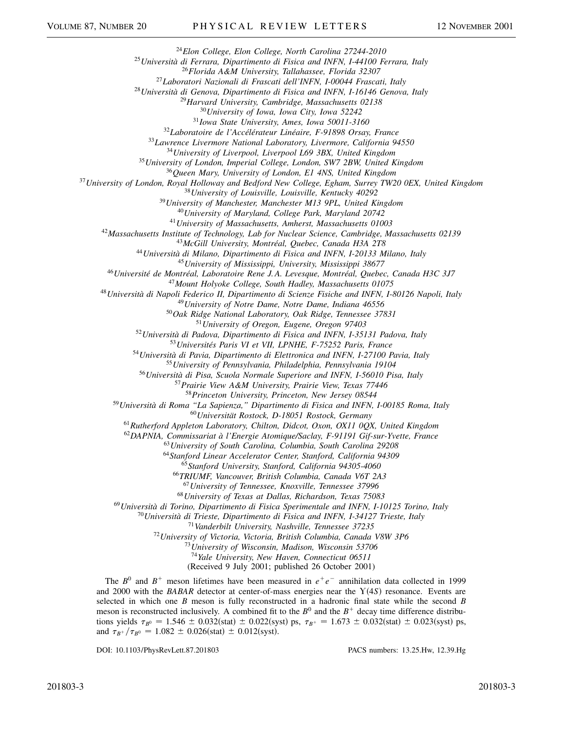*Elon College, Elon College, North Carolina 27244-2010*

*Università di Ferrara, Dipartimento di Fisica and INFN, I-44100 Ferrara, Italy*

*Florida A&M University, Tallahassee, Florida 32307*

*Laboratori Nazionali di Frascati dell'INFN, I-00044 Frascati, Italy*

*Università di Genova, Dipartimento di Fisica and INFN, I-16146 Genova, Italy*

*Harvard University, Cambridge, Massachusetts 02138*

*University of Iowa, Iowa City, Iowa 52242*

*Iowa State University, Ames, Iowa 50011-3160*

*Laboratoire de l'Accélérateur Linéaire, F-91898 Orsay, France*

*Lawrence Livermore National Laboratory, Livermore, California 94550*

*University of Liverpool, Liverpool L69 3BX, United Kingdom*

*University of London, Imperial College, London, SW7 2BW, United Kingdom*

*Queen Mary, University of London, E1 4NS, United Kingdom*

*University of London, Royal Holloway and Bedford New College, Egham, Surrey TW20 0EX, United Kingdom*

*University of Louisville, Louisville, Kentucky 40292*

*University of Manchester, Manchester M13 9PL, United Kingdom*

*University of Maryland, College Park, Maryland 20742*

*University of Massachusetts, Amherst, Massachusetts 01003*

*Massachusetts Institute of Technology, Lab for Nuclear Science, Cambridge, Massachusetts 02139*

*McGill University, Montréal, Quebec, Canada H3A 2T8*

*Università di Milano, Dipartimento di Fisica and INFN, I-20133 Milano, Italy*

*University of Mississippi, University, Mississippi 38677*

*Université de Montréal, Laboratoire Rene J. A. Levesque, Montréal, Quebec, Canada H3C 3J7*

*Mount Holyoke College, South Hadley, Massachusetts 01075*

*Università di Napoli Federico II, Dipartimento di Scienze Fisiche and INFN, I-80126 Napoli, Italy*

*University of Notre Dame, Notre Dame, Indiana 46556*

*Oak Ridge National Laboratory, Oak Ridge, Tennessee 37831*

*University of Oregon, Eugene, Oregon 97403*

*Università di Padova, Dipartimento di Fisica and INFN, I-35131 Padova, Italy*

*Universités Paris VI et VII, LPNHE, F-75252 Paris, France*

*Università di Pavia, Dipartimento di Elettronica and INFN, I-27100 Pavia, Italy*

*University of Pennsylvania, Philadelphia, Pennsylvania 19104*

*Università di Pisa, Scuola Normale Superiore and INFN, I-56010 Pisa, Italy*

*Prairie View A&M University, Prairie View, Texas 77446*

*Princeton University, Princeton, New Jersey 08544*

*Università di Roma "La Sapienza," Dipartimento di Fisica and INFN, I-00185 Roma, Italy*

*Universität Rostock, D-18051 Rostock, Germany*

*Rutherford Appleton Laboratory, Chilton, Didcot, Oxon, OX11 0QX, United Kingdom*

*DAPNIA, Commissariat à l'Energie Atomique/Saclay, F-91191 Gif-sur-Yvette, France*

*University of South Carolina, Columbia, South Carolina 29208*

*Stanford Linear Accelerator Center, Stanford, California 94309*

*Stanford University, Stanford, California 94305-4060*

*TRIUMF, Vancouver, British Columbia, Canada V6T 2A3*

*University of Tennessee, Knoxville, Tennessee 37996*

*University of Texas at Dallas, Richardson, Texas 75083*

*Università di Torino, Dipartimento di Fisica Sperimentale and INFN, I-10125 Torino, Italy*

*Università di Trieste, Dipartimento di Fisica and INFN, I-34127 Trieste, Italy*

*Vanderbilt University, Nashville, Tennessee 37235*

*University of Victoria, Victoria, British Columbia, Canada V8W 3P6*

*University of Wisconsin, Madison, Wisconsin 53706*

*Yale University, New Haven, Connecticut 06511*

(Received 9 July 2001; published 26 October 2001)

The  $B^0$  and  $B^+$  meson lifetimes have been measured in  $e^+e^-$  annihilation data collected in 1999 and 2000 with the *BABAR* detector at center-of-mass energies near the  $Y(4S)$  resonance. Events are selected in which one *B* meson is fully reconstructed in a hadronic final state while the second *B* meson is reconstructed inclusively. A combined fit to the  $B^0$  and the  $B^+$  decay time difference distributions yields  $\tau_{B^0} = 1.546 \pm 0.032$ (stat)  $\pm 0.022$ (syst) ps,  $\tau_{B^+} = 1.673 \pm 0.032$ (stat)  $\pm 0.023$ (syst) ps, and  $\tau_{B^+}/\tau_{B^0} = 1.082 \pm 0.026(stat) \pm 0.012(syst).$ 

DOI: 10.1103/PhysRevLett.87.201803 PACS numbers: 13.25.Hw, 12.39.Hg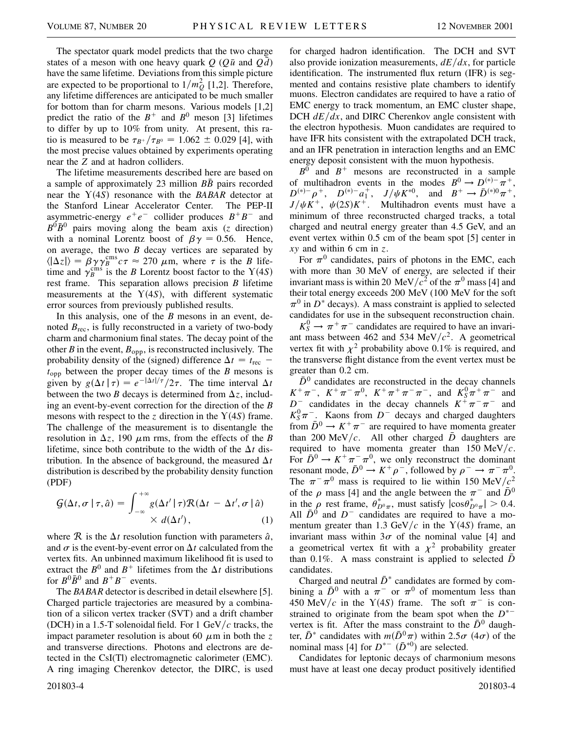The spectator quark model predicts that the two charge states of a meson with one heavy quark  $\hat{O}$  ( $\hat{O}$  $\bar{u}$  and  $\hat{O}$  $\bar{d}$ ) have the same lifetime. Deviations from this simple picture are expected to be proportional to  $1/m_Q^2$  [1,2]. Therefore, any lifetime differences are anticipated to be much smaller for bottom than for charm mesons. Various models [1,2] predict the ratio of the  $B^+$  and  $B^0$  meson [3] lifetimes to differ by up to 10% from unity. At present, this ratio is measured to be  $\tau_{B^+}/\tau_{B^0} = 1.062 \pm 0.029$  [4], with the most precise values obtained by experiments operating near the *Z* and at hadron colliders.

The lifetime measurements described here are based on a sample of approximately 23 million  $B\bar{B}$  pairs recorded near the  $Y(4S)$  resonance with the *BABAR* detector at the Stanford Linear Accelerator Center. The PEP-II asymmetric-energy  $e^+e^-$  collider produces  $B^+B^-$  and  $B^0\bar{B}^0$  pairs moving along the beam axis (*z* direction) with a nominal Lorentz boost of  $\beta \gamma = 0.56$ . Hence, on average, the two *B* decay vertices are separated by  $\langle |\Delta z| \rangle = \beta \gamma \gamma_B^{\text{cms}} c \tau \approx 270 \mu \text{m}$ , where  $\tau$  is the *B* lifetime and  $\gamma_B^{\text{cms}}$  is the *B* Lorentz boost factor to the Y(4*S*) rest frame. This separation allows precision *B* lifetime measurements at the  $Y(4S)$ , with different systematic error sources from previously published results.

In this analysis, one of the *B* mesons in an event, denoted  $B_{\text{rec}}$ , is fully reconstructed in a variety of two-body charm and charmonium final states. The decay point of the other *B* in the event,  $B_{opp}$ , is reconstructed inclusively. The probability density of the (signed) difference  $\Delta t = t_{\text{rec}}$  – *t*opp between the proper decay times of the *B* mesons is given by  $g(\Delta t | \tau) = e^{-|\Delta t|/\tau}/2\tau$ . The time interval  $\Delta t$ between the two *B* decays is determined from  $\Delta z$ , including an event-by-event correction for the direction of the *B* mesons with respect to the  $\zeta$  direction in the  $Y(4S)$  frame. The challenge of the measurement is to disentangle the resolution in  $\Delta z$ , 190  $\mu$ m rms, from the effects of the *B* lifetime, since both contribute to the width of the  $\Delta t$  distribution. In the absence of background, the measured  $\Delta t$ distribution is described by the probability density function (PDF)

$$
G(\Delta t, \sigma \mid \tau, \hat{a}) = \int_{-\infty}^{+\infty} g(\Delta t' \mid \tau) \mathcal{R}(\Delta t - \Delta t', \sigma \mid \hat{a}) \times d(\Delta t'), \qquad (1)
$$

where  $\mathcal R$  is the  $\Delta t$  resolution function with parameters  $\hat a$ , and  $\sigma$  is the event-by-event error on  $\Delta t$  calculated from the vertex fits. An unbinned maximum likelihood fit is used to extract the  $B^0$  and  $B^+$  lifetimes from the  $\Delta t$  distributions for  $B^0\overline{B}{}^0$  and  $B^+B^-$  events.

The *BABAR* detector is described in detail elsewhere [5]. Charged particle trajectories are measured by a combination of a silicon vertex tracker (SVT) and a drift chamber (DCH) in a 1.5-T solenoidal field. For 1 GeV/ $c$  tracks, the impact parameter resolution is about 60  $\mu$ m in both the *z* and transverse directions. Photons and electrons are detected in the CsI(Tl) electromagnetic calorimeter (EMC). A ring imaging Cherenkov detector, the DIRC, is used

201803-4 201803-4

for charged hadron identification. The DCH and SVT also provide ionization measurements,  $dE/dx$ , for particle identification. The instrumented flux return (IFR) is segmented and contains resistive plate chambers to identify muons. Electron candidates are required to have a ratio of EMC energy to track momentum, an EMC cluster shape, DCH  $dE/dx$ , and DIRC Cherenkov angle consistent with the electron hypothesis. Muon candidates are required to have IFR hits consistent with the extrapolated DCH track, and an IFR penetration in interaction lengths and an EMC energy deposit consistent with the muon hypothesis.

 $B^0$  and  $B^+$  mesons are reconstructed in a sample of multihadron events in the modes  $B^0 \to D^{(*)-} \pi^+$ ,  $D^{(*)-}\rho^+$ ,  $D^{(*)-}a_1^+$ ,  $J/\psi K^{*0}$ , and  $B^+ \to \bar{D}^{(*)0}\pi^+$ ,  $J/\psi K^+$ ,  $\psi(2S)K^+$ . Multihadron events must have a minimum of three reconstructed charged tracks, a total charged and neutral energy greater than 4.5 GeV, and an event vertex within 0.5 cm of the beam spot [5] center in *xy* and within 6 cm in *z*.

For  $\pi^0$  candidates, pairs of photons in the EMC, each with more than 30 MeV of energy, are selected if their invariant mass is within 20 MeV/ $c^2$  of the  $\pi^0$  mass [4] and their total energy exceeds 200 MeV (100 MeV for the soft  $\pi^0$  in *D*<sup>\*</sup> decays). A mass constraint is applied to selected candidates for use in the subsequent reconstruction chain.

 $K_S^0 \rightarrow \pi^+ \pi^-$  candidates are required to have an invariant mass between 462 and 534 MeV $/c^2$ . A geometrical vertex fit with  $\chi^2$  probability above 0.1% is required, and the transverse flight distance from the event vertex must be greater than 0.2 cm.

 $\bar{D}^0$  candidates are reconstructed in the decay channels  $K^+\pi^-$ ,  $K^+\pi^-\pi^0$ ,  $K^+\pi^+\pi^-\pi^-$ , and  $K^0_S\pi^+\pi^-$  and  $D^{\dagger}$  candidates in the decay channels  $K^{\dagger} \pi^- \pi^-$  and  $K_S^0 \pi^-$ . Kaons from  $D^-$  decays and charged daughters from  $\bar{D}^0 \rightarrow K^+\pi^-$  are required to have momenta greater than 200 MeV/c. All other charged  $\overline{D}$  daughters are required to have momenta greater than  $150 \text{ MeV}/c$ . For  $\bar{D}^0 \rightarrow K^+\pi^-\pi^0$ , we only reconstruct the dominant resonant mode,  $\bar{D}^0 \to K^+ \rho^-$ , followed by  $\rho^- \to \pi^- \pi^0$ . The  $\pi^{-} \pi^{0}$  mass is required to lie within 150 MeV/ $c^{2}$ of the  $\rho$  mass [4] and the angle between the  $\pi^-$  and  $\bar{D}^0$ in the  $\rho$  rest frame,  $\theta_{D^0\pi}^*$ , must satisfy  $|\cos \theta_{D^0\pi}^*| > 0.4$ . All  $\bar{D}^0$  and  $D^-$  candidates are required to have a momentum greater than 1.3 GeV/ $c$  in the Y(4S) frame, an invariant mass within  $3\sigma$  of the nominal value [4] and a geometrical vertex fit with a  $\chi^2$  probability greater than 0.1%. A mass constraint is applied to selected  $\bar{D}$ candidates.

Charged and neutral  $\bar{D}^*$  candidates are formed by combining a  $\bar{D}^0$  with a  $\pi^-$  or  $\pi^0$  of momentum less than 450 MeV/c in the Y(4S) frame. The soft  $\pi^-$  is constrained to originate from the beam spot when the  $D^*$ vertex is fit. After the mass constraint to the  $\bar{D}^0$  daughter,  $\bar{D}^*$  candidates with  $m(\bar{D}^0 \pi)$  within 2.5 $\sigma$  (4 $\sigma$ ) of the nominal mass [4] for  $D^{*-}$   $(\bar{D}^{*0})$  are selected.

Candidates for leptonic decays of charmonium mesons must have at least one decay product positively identified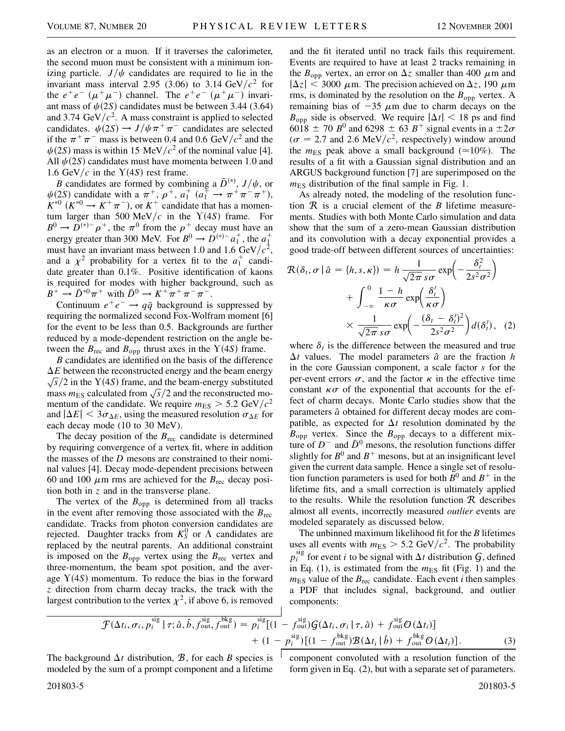as an electron or a muon. If it traverses the calorimeter, the second muon must be consistent with a minimum ionizing particle.  $J/\psi$  candidates are required to lie in the invariant mass interval 2.95 (3.06) to 3.14  $GeV/c^2$  for the  $e^+e^ (\mu^+\mu^-)$  channel. The  $e^+e^ (\mu^+\mu^-)$  invariant mass of  $\psi(2S)$  candidates must be between 3.44 (3.64) and 3.74  $\text{GeV}/c^2$ . A mass constraint is applied to selected candidates.  $\psi(2S) \rightarrow J/\psi \pi^+ \pi^-$  candidates are selected if the  $\pi^{+}\pi^{-}$  mass is between 0.4 and 0.6 GeV/ $c^{2}$  and the  $\psi(2S)$  mass is within 15 MeV/ $c^2$  of the nominal value [4]. All  $\psi(2S)$  candidates must have momenta between 1.0 and 1.6 GeV/ $c$  in the Y(4*S*) rest frame.

*B* candidates are formed by combining a  $\bar{D}^{(*)}$ ,  $J/\psi$ , or  $\psi(2S)$  candidate with a  $\pi^+, \rho^+, a_1^+ (a_1^{\mp} \to \pi^+ \pi^- \pi^+),$  $K^{*0}$  ( $K^{*0} \rightarrow K^+\pi^-$ ), or  $K^+$  candidate that has a momentum larger than 500 MeV/ $c$  in the Y(4S) frame. For  $B^0 \rightarrow D^{(*)-} \rho^+$ , the  $\pi^0$  from the  $\rho^+$  decay must have an energy greater than 300 MeV. For  $B^0 \rightarrow D^{(*)-} a_1^+$ , the  $a_1^+$ must have an invariant mass between 1.0 and 1.6  $GeV/c^2$ , and a  $\chi^2$  probability for a vertex fit to the  $a_1^+$  candidate greater than 0.1%. Positive identification of kaons is required for modes with higher background, such as  $B^+ \to \bar{D}^{*0}\pi^+$  with  $\bar{D}^0 \to K^+\pi^+\pi^-\pi^-$ .

Continuum  $e^+e^- \rightarrow q\bar{q}$  background is suppressed by requiring the normalized second Fox-Wolfram moment [6] for the event to be less than 0.5. Backgrounds are further reduced by a mode-dependent restriction on the angle between the  $B_{\text{rec}}$  and  $B_{\text{opp}}$  thrust axes in the  $Y(4S)$  frame.

*B* candidates are identified on the basis of the difference  $\Delta E$  between the reconstructed energy and the beam energy  $\Delta E$  between the reconstructed energy and the beam energy  $\sqrt{s}/2$  in the Y(4*S*) frame, and the beam-energy substituted mass  $m_{ES}$  calculated from  $\sqrt{s}/2$  and the reconstructed momentum of the candidate. We require  $m_{ES} > 5.2 \text{ GeV}/c^2$ and  $|\Delta E|$  < 3 $\sigma_{\Delta E}$ , using the measured resolution  $\sigma_{\Delta E}$  for each decay mode (10 to 30 MeV).

The decay position of the  $B_{\text{rec}}$  candidate is determined by requiring convergence of a vertex fit, where in addition the masses of the *D* mesons are constrained to their nominal values [4]. Decay mode-dependent precisions between 60 and 100  $\mu$ m rms are achieved for the  $B_{\text{rec}}$  decay position both in *z* and in the transverse plane.

The vertex of the  $B_{opp}$  is determined from all tracks in the event after removing those associated with the *B*rec candidate. Tracks from photon conversion candidates are rejected. Daughter tracks from  $K_S^0$  or  $\Lambda$  candidates are replaced by the neutral parents. An additional constraint is imposed on the  $B_{opp}$  vertex using the  $B_{rec}$  vertex and three-momentum, the beam spot position, and the average  $Y(4S)$  momentum. To reduce the bias in the forward *z* direction from charm decay tracks, the track with the largest contribution to the vertex  $\chi^2$ , if above 6, is removed

and the fit iterated until no track fails this requirement. Events are required to have at least 2 tracks remaining in the  $B_{opp}$  vertex, an error on  $\Delta z$  smaller than 400  $\mu$ m and  $|\Delta z| < 3000 \mu$ m. The precision achieved on  $\Delta z$ , 190  $\mu$ m rms, is dominated by the resolution on the  $B_{opp}$  vertex. A remaining bias of  $-35 \mu m$  due to charm decays on the  $B_{\text{opp}}$  side is observed. We require  $|\Delta t| < 18$  ps and find 6018  $\pm$  70 *B*<sup>0</sup> and 6298  $\pm$  63 *B*<sup>+</sup> signal events in a  $\pm 2\sigma$  $(\sigma = 2.7 \text{ and } 2.6 \text{ MeV}/c^2)$ , respectively) window around the  $m_{ES}$  peak above a small background ( $\simeq$ 10%). The results of a fit with a Gaussian signal distribution and an ARGUS background function [7] are superimposed on the  $m_{ES}$  distribution of the final sample in Fig. 1.

As already noted, the modeling of the resolution function R is a crucial element of the *B* lifetime measurements. Studies with both Monte Carlo simulation and data show that the sum of a zero-mean Gaussian distribution and its convolution with a decay exponential provides a good trade-off between different sources of uncertainties:

$$
\mathcal{R}(\delta_t, \sigma | \hat{a} = \{h, s, \kappa\}) = h \frac{1}{\sqrt{2\pi s} \sigma} \exp\left(-\frac{\delta_t^2}{2s^2 \sigma^2}\right) \n+ \int_{-\infty}^0 \frac{1 - h}{\kappa \sigma} \exp\left(\frac{\delta_t'}{\kappa \sigma}\right) \n\times \frac{1}{\sqrt{2\pi s} \sigma} \exp\left(-\frac{(\delta_t - \delta_t')^2}{2s^2 \sigma^2}\right) d(\delta_t'), \quad (2)
$$

where  $\delta_t$  is the difference between the measured and true  $\Delta t$  values. The model parameters  $\hat{a}$  are the fraction *h* in the core Gaussian component, a scale factor *s* for the per-event errors  $\sigma$ , and the factor  $\kappa$  in the effective time constant  $\kappa \sigma$  of the exponential that accounts for the effect of charm decays. Monte Carlo studies show that the parameters  $\hat{a}$  obtained for different decay modes are compatible, as expected for  $\Delta t$  resolution dominated by the  $B_{opp}$  vertex. Since the  $B_{opp}$  decays to a different mixture of  $D^-$  and  $\bar{D}^0$  mesons, the resolution functions differ slightly for  $B^0$  and  $B^+$  mesons, but at an insignificant level given the current data sample. Hence a single set of resolution function parameters is used for both  $B^0$  and  $B^+$  in the lifetime fits, and a small correction is ultimately applied to the results. While the resolution function  $R$  describes almost all events, incorrectly measured *outlier* events are modeled separately as discussed below.

The unbinned maximum likelihood fit for the *B* lifetimes uses all events with  $m_{ES} > 5.2 \text{ GeV}/c^2$ . The probability  $p_i^{\text{sig}}$  for event *i* to be signal with  $\Delta t$  distribution  $\mathcal{G}$ , defined in Eq.  $(1)$ , is estimated from the  $m_{ES}$  fit (Fig. 1) and the  $m_{ES}$  value of the  $B_{rec}$  candidate. Each event *i* then samples a PDF that includes signal, background, and outlier components:

$$
\mathcal{F}(\Delta t_i, \sigma_i, p_i^{\text{sig}} \mid \tau; \hat{a}, \hat{b}, f_{\text{out}}^{\text{sig}}, f_{\text{out}}^{\text{bkg}}) = p_i^{\text{sig}}[(1 - f_{\text{out}}^{\text{sig}}) \mathcal{G}(\Delta t_i, \sigma_i \mid \tau, \hat{a}) + f_{\text{out}}^{\text{sig}} \mathcal{O}(\Delta t_i)] + (1 - p_i^{\text{sig}})[(1 - f_{\text{out}}^{\text{bkg}}) \mathcal{B}(\Delta t_i \mid \hat{b}) + f_{\text{out}}^{\text{bkg}} \mathcal{O}(\Delta t_i)].
$$
\n(3)

The background  $\Delta t$  distribution,  $\mathcal{B}$ , for each  $\mathcal{B}$  species is modeled by the sum of a prompt component and a lifetime component convoluted with a resolution function of the form given in Eq. (2), but with a separate set of parameters.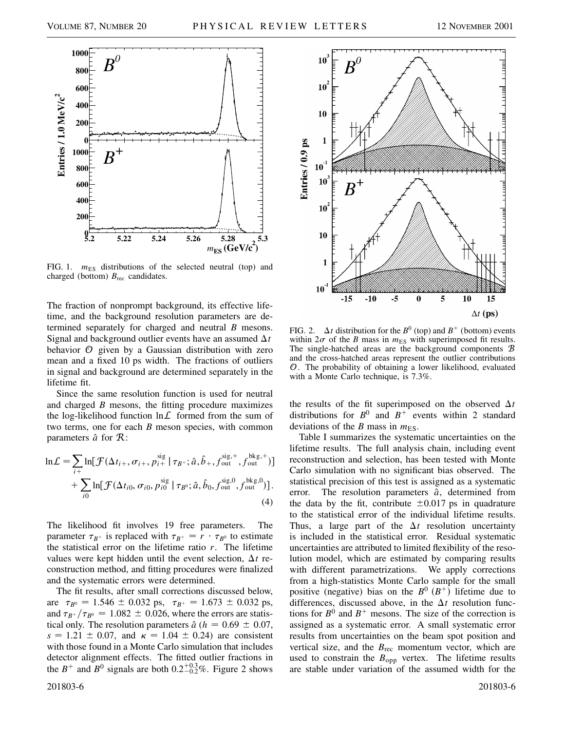

FIG. 1.  $m_{ES}$  distributions of the selected neutral (top) and charged (bottom) *B*rec candidates.

The fraction of nonprompt background, its effective lifetime, and the background resolution parameters are determined separately for charged and neutral *B* mesons. Signal and background outlier events have an assumed  $\Delta t$ behavior  $O$  given by a Gaussian distribution with zero mean and a fixed 10 ps width. The fractions of outliers in signal and background are determined separately in the lifetime fit.

Since the same resolution function is used for neutral and charged *B* mesons, the fitting procedure maximizes the log-likelihood function  $\ln \mathcal{L}$  formed from the sum of two terms, one for each *B* meson species, with common parameters  $\hat{a}$  for  $\hat{R}$ :

$$
\ln \mathcal{L} = \sum_{i+} \ln[\mathcal{F}(\Delta t_{i+}, \sigma_{i+}, p_{i+}^{\text{sig}} | \tau_{B^+}; \hat{a}, \hat{b}_+, f_{\text{out}}^{\text{sig},+}, f_{\text{out}}^{\text{bkg},+})] + \sum_{i0} \ln[\mathcal{F}(\Delta t_{i0}, \sigma_{i0}, p_{i0}^{\text{sig}} | \tau_{B^0}; \hat{a}, \hat{b}_0, f_{\text{out}}^{\text{sig},0}, f_{\text{out}}^{\text{bkg},0})].
$$
\n(4)

The likelihood fit involves 19 free parameters. The parameter  $\tau_{B^+}$  is replaced with  $\tau_{B^+} = r \cdot \tau_{B^0}$  to estimate the statistical error on the lifetime ratio *r*. The lifetime values were kept hidden until the event selection,  $\Delta t$  reconstruction method, and fitting procedures were finalized and the systematic errors were determined.

The fit results, after small corrections discussed below, are  $\tau_{B^0} = 1.546 \pm 0.032$  ps,  $\tau_{B^+} = 1.673 \pm 0.032$  ps, and  $\tau_{B^+}/\tau_{B^0} = 1.082 \pm 0.026$ , where the errors are statistical only. The resolution parameters  $\hat{a}$  ( $h = 0.69 \pm 0.07$ ,  $s = 1.21 \pm 0.07$ , and  $\kappa = 1.04 \pm 0.24$ ) are consistent with those found in a Monte Carlo simulation that includes detector alignment effects. The fitted outlier fractions in the  $B^+$  and  $B^0$  signals are both  $0.2^{+0.3}_{-0.2}\%$ . Figure 2 shows



FIG. 2.  $\Delta t$  distribution for the *B*<sup>0</sup> (top) and *B*<sup>+</sup> (bottom) events within  $2\sigma$  of the *B* mass in  $m_{ES}$  with superimposed fit results. The single-hatched areas are the background components B and the cross-hatched areas represent the outlier contributions O. The probability of obtaining a lower likelihood, evaluated with a Monte Carlo technique, is 7.3%.

the results of the fit superimposed on the observed  $\Delta t$ distributions for  $B^0$  and  $B^+$  events within 2 standard deviations of the *B* mass in  $m_{ES}$ .

Table I summarizes the systematic uncertainties on the lifetime results. The full analysis chain, including event reconstruction and selection, has been tested with Monte Carlo simulation with no significant bias observed. The statistical precision of this test is assigned as a systematic error. The resolution parameters  $\hat{a}$ , determined from the data by the fit, contribute  $\pm 0.017$  ps in quadrature to the statistical error of the individual lifetime results. Thus, a large part of the  $\Delta t$  resolution uncertainty is included in the statistical error. Residual systematic uncertainties are attributed to limited flexibility of the resolution model, which are estimated by comparing results with different parametrizations. We apply corrections from a high-statistics Monte Carlo sample for the small positive (negative) bias on the  $B^0$   $(B^+)$  lifetime due to differences, discussed above, in the  $\Delta t$  resolution functions for  $B^0$  and  $B^+$  mesons. The size of the correction is assigned as a systematic error. A small systematic error results from uncertainties on the beam spot position and vertical size, and the  $B_{\text{rec}}$  momentum vector, which are used to constrain the  $B_{opp}$  vertex. The lifetime results are stable under variation of the assumed width for the